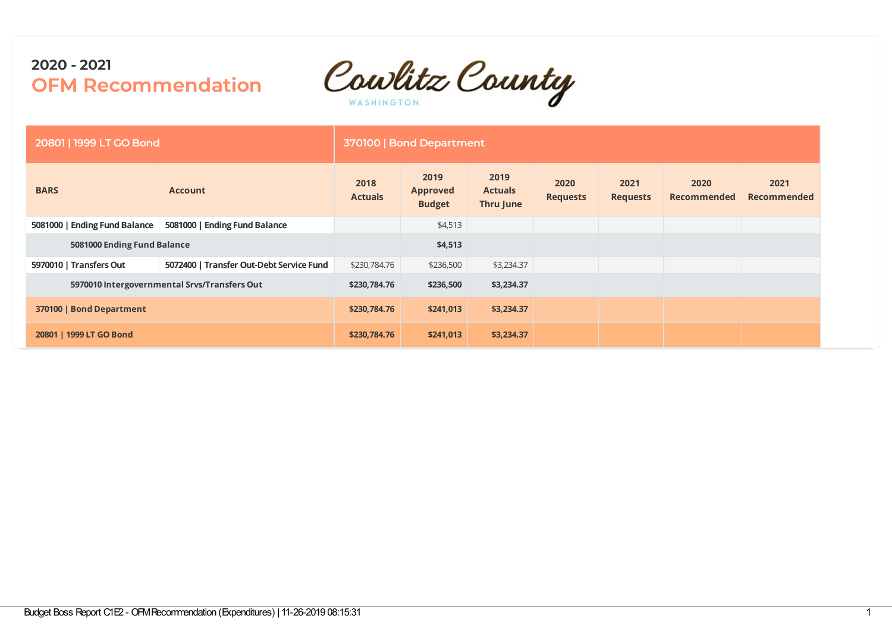Cowlitz County

| 20801   1999 LT GO Bond       |                                              |                        | 370100   Bond Department                 |                                     |                         |                         |                            |                            |
|-------------------------------|----------------------------------------------|------------------------|------------------------------------------|-------------------------------------|-------------------------|-------------------------|----------------------------|----------------------------|
| <b>BARS</b>                   | <b>Account</b>                               | 2018<br><b>Actuals</b> | 2019<br><b>Approved</b><br><b>Budget</b> | 2019<br><b>Actuals</b><br>Thru June | 2020<br><b>Requests</b> | 2021<br><b>Requests</b> | 2020<br><b>Recommended</b> | 2021<br><b>Recommended</b> |
| 5081000   Ending Fund Balance | 5081000   Ending Fund Balance                |                        | \$4,513                                  |                                     |                         |                         |                            |                            |
| 5081000 Ending Fund Balance   |                                              |                        | \$4,513                                  |                                     |                         |                         |                            |                            |
| 5970010   Transfers Out       | 5072400   Transfer Out-Debt Service Fund     | \$230,784.76           | \$236,500                                | \$3,234.37                          |                         |                         |                            |                            |
|                               | 5970010 Intergovernmental Srvs/Transfers Out | \$230,784.76           | \$236,500                                | \$3,234.37                          |                         |                         |                            |                            |
| 370100   Bond Department      |                                              | \$230,784.76           | \$241,013                                | \$3,234.37                          |                         |                         |                            |                            |
| 20801   1999 LT GO Bond       |                                              | \$230,784.76           | \$241,013                                | \$3,234.37                          |                         |                         |                            |                            |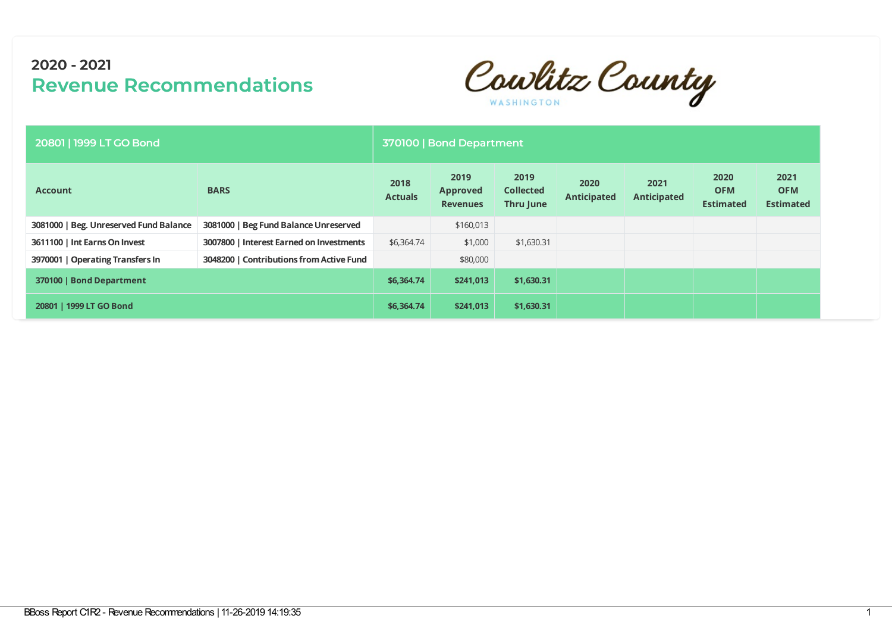Cowlitz County

| 20801   1999 LT GO Bond                |                                          |                        | 370100   Bond Department                   |                                       |                            |                            |                                        |                                        |  |  |  |  |  |
|----------------------------------------|------------------------------------------|------------------------|--------------------------------------------|---------------------------------------|----------------------------|----------------------------|----------------------------------------|----------------------------------------|--|--|--|--|--|
| <b>Account</b>                         | <b>BARS</b>                              | 2018<br><b>Actuals</b> | 2019<br><b>Approved</b><br><b>Revenues</b> | 2019<br><b>Collected</b><br>Thru June | 2020<br><b>Anticipated</b> | 2021<br><b>Anticipated</b> | 2020<br><b>OFM</b><br><b>Estimated</b> | 2021<br><b>OFM</b><br><b>Estimated</b> |  |  |  |  |  |
| 3081000   Beg. Unreserved Fund Balance | 3081000   Beg Fund Balance Unreserved    |                        | \$160,013                                  |                                       |                            |                            |                                        |                                        |  |  |  |  |  |
| 3611100   Int Earns On Invest          | 3007800   Interest Earned on Investments | \$6,364.74             | \$1,000                                    | \$1,630.31                            |                            |                            |                                        |                                        |  |  |  |  |  |
| 3970001   Operating Transfers In       | 3048200   Contributions from Active Fund |                        | \$80,000                                   |                                       |                            |                            |                                        |                                        |  |  |  |  |  |
| 370100   Bond Department               |                                          | \$6,364.74             | \$241,013                                  | \$1,630.31                            |                            |                            |                                        |                                        |  |  |  |  |  |
| 20801   1999 LT GO Bond                |                                          | \$6,364.74             | \$241,013                                  | \$1,630.31                            |                            |                            |                                        |                                        |  |  |  |  |  |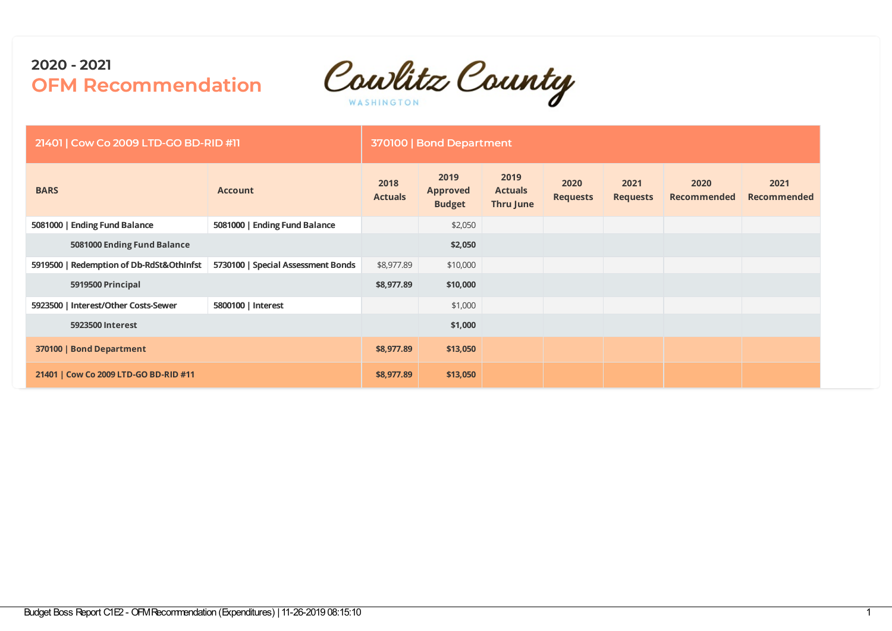

| 21401   Cow Co 2009 LTD-GO BD-RID #11    |                                    |                        | 370100   Bond Department                 |                                            |                         |                         |                     |                     |
|------------------------------------------|------------------------------------|------------------------|------------------------------------------|--------------------------------------------|-------------------------|-------------------------|---------------------|---------------------|
| <b>BARS</b>                              | <b>Account</b>                     | 2018<br><b>Actuals</b> | 2019<br><b>Approved</b><br><b>Budget</b> | 2019<br><b>Actuals</b><br><b>Thru June</b> | 2020<br><b>Requests</b> | 2021<br><b>Requests</b> | 2020<br>Recommended | 2021<br>Recommended |
| 5081000   Ending Fund Balance            | 5081000   Ending Fund Balance      |                        | \$2,050                                  |                                            |                         |                         |                     |                     |
| 5081000 Ending Fund Balance              |                                    |                        | \$2,050                                  |                                            |                         |                         |                     |                     |
| 5919500   Redemption of Db-RdSt&OthInfst | 5730100   Special Assessment Bonds | \$8,977.89             | \$10,000                                 |                                            |                         |                         |                     |                     |
| 5919500 Principal                        |                                    | \$8,977.89             | \$10,000                                 |                                            |                         |                         |                     |                     |
| 5923500   Interest/Other Costs-Sewer     | 5800100   Interest                 |                        | \$1,000                                  |                                            |                         |                         |                     |                     |
| 5923500 Interest                         |                                    |                        | \$1,000                                  |                                            |                         |                         |                     |                     |
| 370100   Bond Department                 |                                    | \$8,977.89             | \$13,050                                 |                                            |                         |                         |                     |                     |
| 21401   Cow Co 2009 LTD-GO BD-RID #11    |                                    | \$8,977.89             | \$13,050                                 |                                            |                         |                         |                     |                     |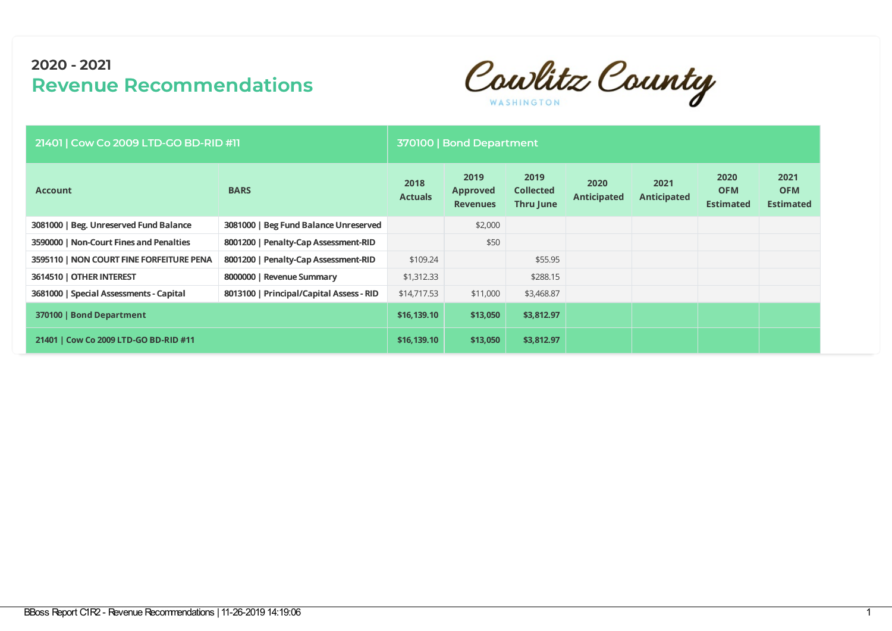Cowlitz County

| 21401   Cow Co 2009 LTD-GO BD-RID #11    |                                          |                        | 370100   Bond Department                   |                                       |                            |                            |                                        |                                        |
|------------------------------------------|------------------------------------------|------------------------|--------------------------------------------|---------------------------------------|----------------------------|----------------------------|----------------------------------------|----------------------------------------|
| <b>Account</b>                           | <b>BARS</b>                              | 2018<br><b>Actuals</b> | 2019<br><b>Approved</b><br><b>Revenues</b> | 2019<br><b>Collected</b><br>Thru June | 2020<br><b>Anticipated</b> | 2021<br><b>Anticipated</b> | 2020<br><b>OFM</b><br><b>Estimated</b> | 2021<br><b>OFM</b><br><b>Estimated</b> |
| 3081000   Beg. Unreserved Fund Balance   | 3081000   Beg Fund Balance Unreserved    |                        | \$2,000                                    |                                       |                            |                            |                                        |                                        |
| 3590000   Non-Court Fines and Penalties  | 8001200   Penalty-Cap Assessment-RID     |                        | \$50                                       |                                       |                            |                            |                                        |                                        |
| 3595110   NON COURT FINE FORFEITURE PENA | 8001200   Penalty-Cap Assessment-RID     | \$109.24               |                                            | \$55.95                               |                            |                            |                                        |                                        |
| 3614510   OTHER INTEREST                 | 8000000   Revenue Summary                | \$1,312.33             |                                            | \$288.15                              |                            |                            |                                        |                                        |
| 3681000   Special Assessments - Capital  | 8013100   Principal/Capital Assess - RID | \$14,717.53            | \$11,000                                   | \$3,468.87                            |                            |                            |                                        |                                        |
| 370100   Bond Department                 |                                          | \$16,139.10            | \$13,050                                   | \$3,812.97                            |                            |                            |                                        |                                        |
| 21401   Cow Co 2009 LTD-GO BD-RID #11    |                                          | \$16,139.10            | \$13,050                                   | \$3,812.97                            |                            |                            |                                        |                                        |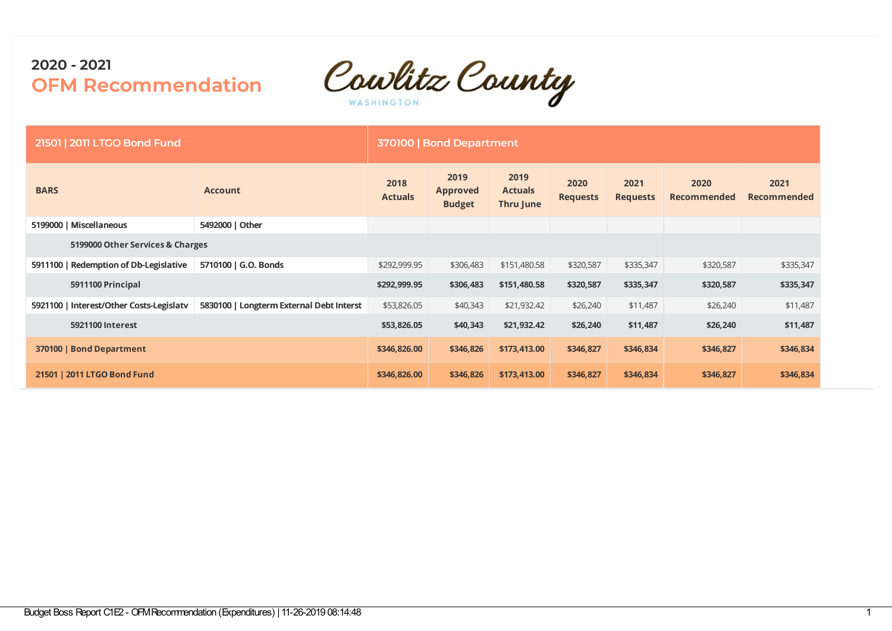

| 21501   2011 LTGO Bond Fund              |                                          |                        | 370100   Bond Department                 |                                     |                         |                         |                            |                     |
|------------------------------------------|------------------------------------------|------------------------|------------------------------------------|-------------------------------------|-------------------------|-------------------------|----------------------------|---------------------|
| <b>BARS</b>                              | <b>Account</b>                           | 2018<br><b>Actuals</b> | 2019<br><b>Approved</b><br><b>Budget</b> | 2019<br><b>Actuals</b><br>Thru June | 2020<br><b>Requests</b> | 2021<br><b>Requests</b> | 2020<br><b>Recommended</b> | 2021<br>Recommended |
| 5199000   Miscellaneous                  | 5492000   Other                          |                        |                                          |                                     |                         |                         |                            |                     |
| 5199000 Other Services & Charges         |                                          |                        |                                          |                                     |                         |                         |                            |                     |
| 5911100   Redemption of Db-Legislative   | 5710100   G.O. Bonds                     | \$292,999.95           | \$306,483                                | \$151,480.58                        | \$320,587               | \$335,347               | \$320,587                  | \$335,347           |
| 5911100 Principal                        |                                          | \$292,999.95           | \$306,483                                | \$151,480.58                        | \$320,587               | \$335,347               | \$320,587                  | \$335,347           |
| 5921100   Interest/Other Costs-Legislatv | 5830100   Longterm External Debt Interst | \$53,826.05            | \$40,343                                 | \$21,932.42                         | \$26,240                | \$11,487                | \$26,240                   | \$11,487            |
| 5921100 Interest                         |                                          | \$53,826.05            | \$40,343                                 | \$21,932.42                         | \$26,240                | \$11,487                | \$26,240                   | \$11,487            |
| 370100   Bond Department                 |                                          | \$346,826.00           | \$346,826                                | \$173,413.00                        | \$346,827               | \$346,834               | \$346,827                  | \$346,834           |
| 21501   2011 LTGO Bond Fund              |                                          | \$346,826.00           | \$346,826                                | \$173,413.00                        | \$346,827               | \$346,834               | \$346,827                  | \$346,834           |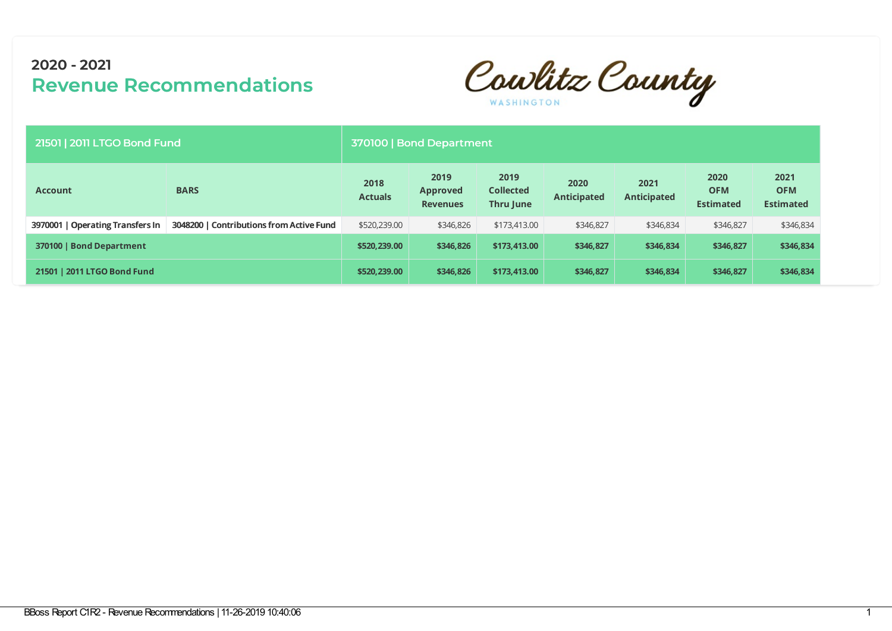Cowlitz County

| 21501   2011 LTGO Bond Fund      |                                          | 370100   Bond Department |                                            |                                       |                            |                            |                                        |                                        |  |  |  |
|----------------------------------|------------------------------------------|--------------------------|--------------------------------------------|---------------------------------------|----------------------------|----------------------------|----------------------------------------|----------------------------------------|--|--|--|
| <b>Account</b>                   | <b>BARS</b>                              | 2018<br><b>Actuals</b>   | 2019<br><b>Approved</b><br><b>Revenues</b> | 2019<br><b>Collected</b><br>Thru June | 2020<br><b>Anticipated</b> | 2021<br><b>Anticipated</b> | 2020<br><b>OFM</b><br><b>Estimated</b> | 2021<br><b>OFM</b><br><b>Estimated</b> |  |  |  |
| 3970001   Operating Transfers In | 3048200   Contributions from Active Fund | \$520,239.00             | \$346,826                                  | \$173,413.00                          | \$346,827                  | \$346,834                  | \$346,827                              | \$346,834                              |  |  |  |
| 370100   Bond Department         |                                          | \$520,239.00             | \$346,826                                  | \$173,413.00                          | \$346,827                  | \$346,834                  | \$346,827                              | \$346,834                              |  |  |  |
| 21501   2011 LTGO Bond Fund      |                                          | \$520,239.00             | \$346,826                                  | \$173,413.00                          | \$346,827                  | \$346,834                  | \$346,827                              | \$346,834                              |  |  |  |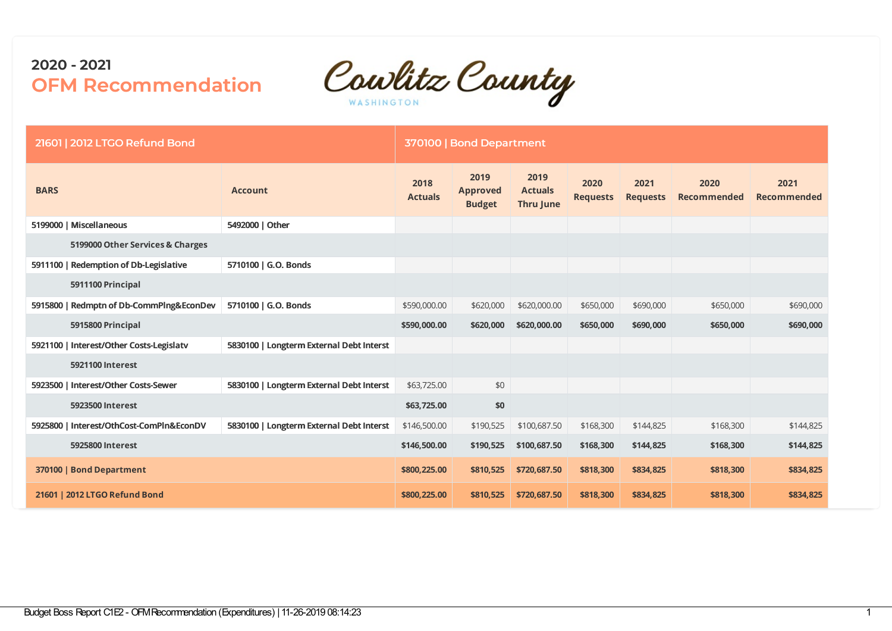

| 21601   2012 LTGO Refund Bond            |                                          |                        | 370100   Bond Department                 |                                            |                         |                         |                            |                            |
|------------------------------------------|------------------------------------------|------------------------|------------------------------------------|--------------------------------------------|-------------------------|-------------------------|----------------------------|----------------------------|
| <b>BARS</b>                              | <b>Account</b>                           | 2018<br><b>Actuals</b> | 2019<br><b>Approved</b><br><b>Budget</b> | 2019<br><b>Actuals</b><br><b>Thru June</b> | 2020<br><b>Requests</b> | 2021<br><b>Requests</b> | 2020<br><b>Recommended</b> | 2021<br><b>Recommended</b> |
| 5199000   Miscellaneous                  | 5492000   Other                          |                        |                                          |                                            |                         |                         |                            |                            |
| 5199000 Other Services & Charges         |                                          |                        |                                          |                                            |                         |                         |                            |                            |
| 5911100   Redemption of Db-Legislative   | 5710100   G.O. Bonds                     |                        |                                          |                                            |                         |                         |                            |                            |
| 5911100 Principal                        |                                          |                        |                                          |                                            |                         |                         |                            |                            |
| 5915800   Redmptn of Db-CommPlng&EconDev | 5710100   G.O. Bonds                     | \$590,000.00           | \$620,000                                | \$620,000.00                               | \$650,000               | \$690,000               | \$650,000                  | \$690,000                  |
| 5915800 Principal                        |                                          | \$590,000.00           | \$620,000                                | \$620,000.00                               | \$650,000               | \$690,000               | \$650,000                  | \$690,000                  |
| 5921100   Interest/Other Costs-Legislatv | 5830100   Longterm External Debt Interst |                        |                                          |                                            |                         |                         |                            |                            |
| 5921100 Interest                         |                                          |                        |                                          |                                            |                         |                         |                            |                            |
| 5923500   Interest/Other Costs-Sewer     | 5830100   Longterm External Debt Interst | \$63,725.00            | \$0                                      |                                            |                         |                         |                            |                            |
| 5923500 Interest                         |                                          | \$63,725.00            | \$0                                      |                                            |                         |                         |                            |                            |
| 5925800   Interest/OthCost-ComPln&EconDV | 5830100   Longterm External Debt Interst | \$146,500.00           | \$190,525                                | \$100,687.50                               | \$168,300               | \$144,825               | \$168,300                  | \$144,825                  |
| 5925800 Interest                         |                                          | \$146,500.00           | \$190,525                                | \$100,687.50                               | \$168,300               | \$144,825               | \$168,300                  | \$144,825                  |
| 370100   Bond Department                 |                                          | \$800,225.00           | \$810,525                                | \$720,687.50                               | \$818,300               | \$834,825               | \$818,300                  | \$834,825                  |
| 21601   2012 LTGO Refund Bond            |                                          | \$800,225.00           | \$810,525                                | \$720,687.50                               | \$818,300               | \$834,825               | \$818,300                  | \$834,825                  |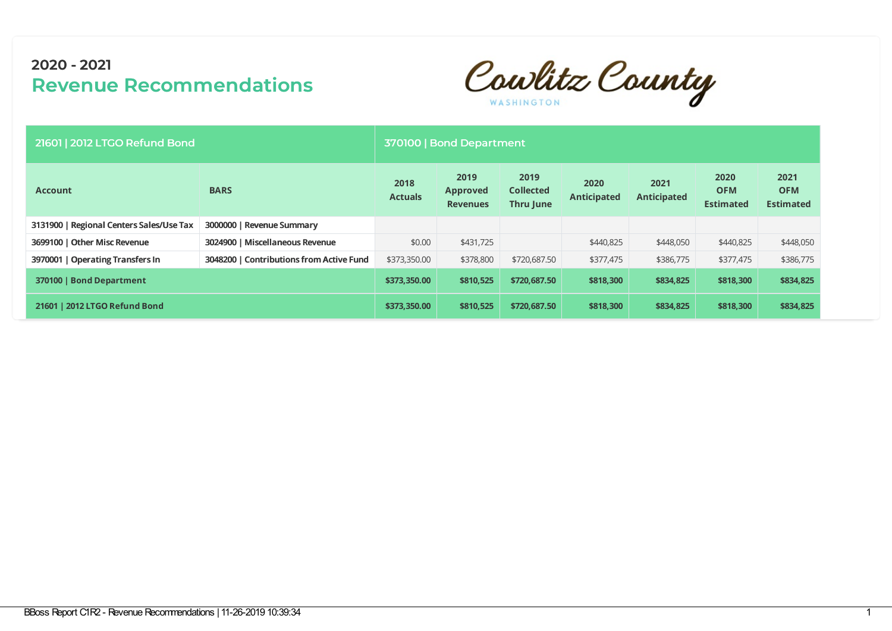Cowlitz County

| 21601   2012 LTGO Refund Bond            |                                          | 370100   Bond Department |                                            |                                       |                            |                            |                                        |                                        |
|------------------------------------------|------------------------------------------|--------------------------|--------------------------------------------|---------------------------------------|----------------------------|----------------------------|----------------------------------------|----------------------------------------|
| <b>Account</b>                           | <b>BARS</b>                              | 2018<br><b>Actuals</b>   | 2019<br><b>Approved</b><br><b>Revenues</b> | 2019<br><b>Collected</b><br>Thru June | 2020<br><b>Anticipated</b> | 2021<br><b>Anticipated</b> | 2020<br><b>OFM</b><br><b>Estimated</b> | 2021<br><b>OFM</b><br><b>Estimated</b> |
| 3131900   Regional Centers Sales/Use Tax | 3000000   Revenue Summary                |                          |                                            |                                       |                            |                            |                                        |                                        |
| 3699100   Other Misc Revenue             | 3024900   Miscellaneous Revenue          | \$0.00                   | \$431,725                                  |                                       | \$440,825                  | \$448,050                  | \$440,825                              | \$448,050                              |
| 3970001   Operating Transfers In         | 3048200   Contributions from Active Fund | \$373,350.00             | \$378,800                                  | \$720,687.50                          | \$377,475                  | \$386,775                  | \$377,475                              | \$386,775                              |
| 370100   Bond Department                 |                                          | \$373,350.00             | \$810,525                                  | \$720,687.50                          | \$818,300                  | \$834,825                  | \$818,300                              | \$834,825                              |
| 21601   2012 LTGO Refund Bond            |                                          | \$373,350,00             | \$810,525                                  | \$720,687.50                          | \$818,300                  | \$834,825                  | \$818,300                              | \$834,825                              |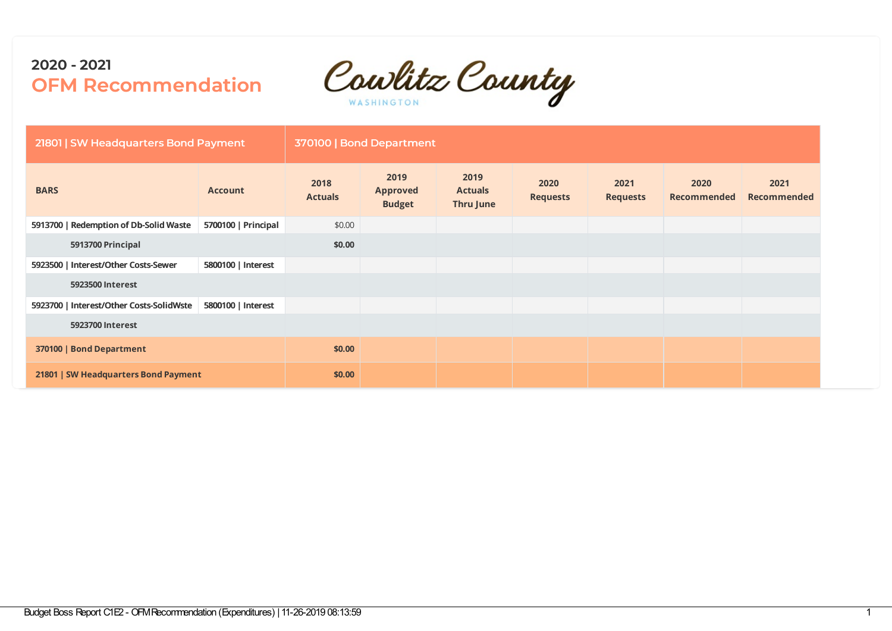Cowlitz County

| 21801   SW Headquarters Bond Payment     |                     |                        | 370100   Bond Department                 |                                     |                         |                         |                     |                            |
|------------------------------------------|---------------------|------------------------|------------------------------------------|-------------------------------------|-------------------------|-------------------------|---------------------|----------------------------|
| <b>BARS</b>                              | <b>Account</b>      | 2018<br><b>Actuals</b> | 2019<br><b>Approved</b><br><b>Budget</b> | 2019<br><b>Actuals</b><br>Thru June | 2020<br><b>Requests</b> | 2021<br><b>Requests</b> | 2020<br>Recommended | 2021<br><b>Recommended</b> |
| 5913700   Redemption of Db-Solid Waste   | 5700100   Principal | \$0.00                 |                                          |                                     |                         |                         |                     |                            |
| 5913700 Principal                        |                     | \$0.00                 |                                          |                                     |                         |                         |                     |                            |
| 5923500   Interest/Other Costs-Sewer     | 5800100   Interest  |                        |                                          |                                     |                         |                         |                     |                            |
| 5923500 Interest                         |                     |                        |                                          |                                     |                         |                         |                     |                            |
| 5923700   Interest/Other Costs-SolidWste | 5800100   Interest  |                        |                                          |                                     |                         |                         |                     |                            |
| 5923700 Interest                         |                     |                        |                                          |                                     |                         |                         |                     |                            |
| 370100   Bond Department                 |                     | \$0.00                 |                                          |                                     |                         |                         |                     |                            |
| 21801   SW Headquarters Bond Payment     |                     | \$0.00                 |                                          |                                     |                         |                         |                     |                            |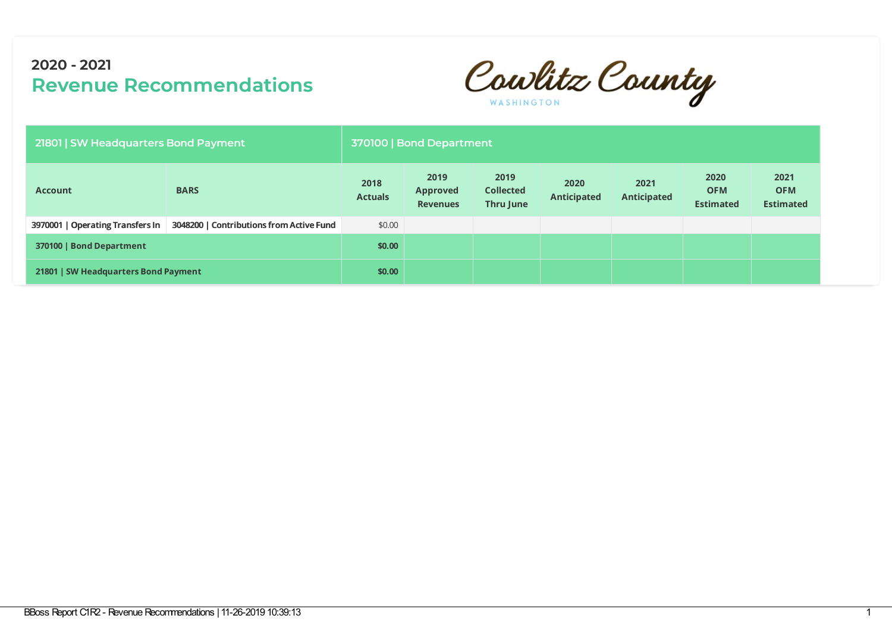Cowlitz County

| 21801   SW Headquarters Bond Payment |                                          |                        | 370100   Bond Department                   |                                       |                            |                            |                                        |                                        |
|--------------------------------------|------------------------------------------|------------------------|--------------------------------------------|---------------------------------------|----------------------------|----------------------------|----------------------------------------|----------------------------------------|
| <b>Account</b>                       | <b>BARS</b>                              | 2018<br><b>Actuals</b> | 2019<br><b>Approved</b><br><b>Revenues</b> | 2019<br><b>Collected</b><br>Thru June | 2020<br><b>Anticipated</b> | 2021<br><b>Anticipated</b> | 2020<br><b>OFM</b><br><b>Estimated</b> | 2021<br><b>OFM</b><br><b>Estimated</b> |
| 3970001   Operating Transfers In     | 3048200   Contributions from Active Fund | \$0.00                 |                                            |                                       |                            |                            |                                        |                                        |
| 370100   Bond Department             |                                          | \$0.00                 |                                            |                                       |                            |                            |                                        |                                        |
| 21801   SW Headquarters Bond Payment |                                          | \$0.00                 |                                            |                                       |                            |                            |                                        |                                        |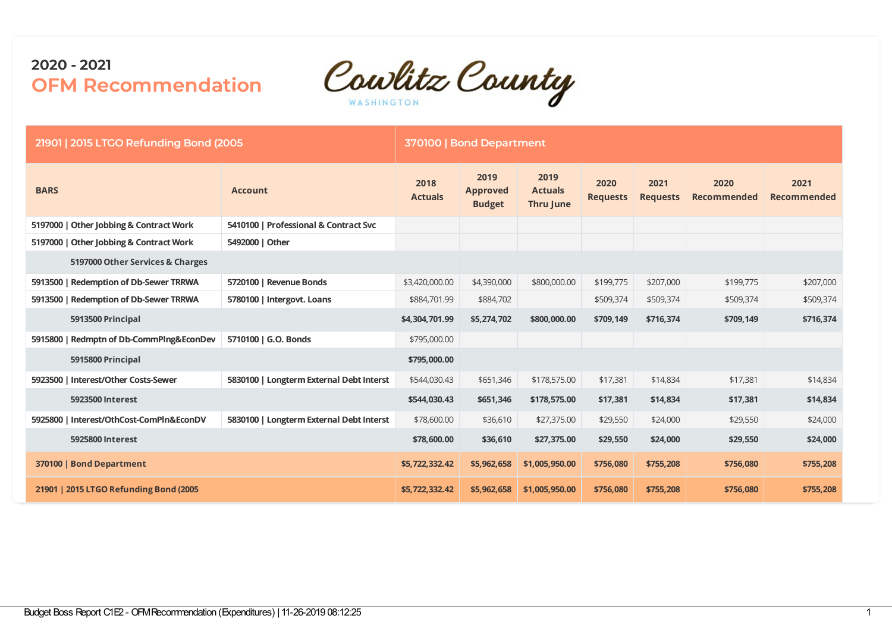

| 21901   2015 LTGO Refunding Bond (2005)  |                                          |                        | 370100   Bond Department                 |                                     |                         |                         |                            |                            |
|------------------------------------------|------------------------------------------|------------------------|------------------------------------------|-------------------------------------|-------------------------|-------------------------|----------------------------|----------------------------|
| <b>BARS</b>                              | <b>Account</b>                           | 2018<br><b>Actuals</b> | 2019<br><b>Approved</b><br><b>Budget</b> | 2019<br><b>Actuals</b><br>Thru June | 2020<br><b>Requests</b> | 2021<br><b>Requests</b> | 2020<br><b>Recommended</b> | 2021<br><b>Recommended</b> |
| 5197000   Other Jobbing & Contract Work  | 5410100   Professional & Contract Svc    |                        |                                          |                                     |                         |                         |                            |                            |
| 5197000   Other Jobbing & Contract Work  | 5492000   Other                          |                        |                                          |                                     |                         |                         |                            |                            |
| 5197000 Other Services & Charges         |                                          |                        |                                          |                                     |                         |                         |                            |                            |
| 5913500   Redemption of Db-Sewer TRRWA   | 5720100   Revenue Bonds                  | \$3,420,000.00         | \$4,390,000                              | \$800,000.00                        | \$199,775               | \$207,000               | \$199,775                  | \$207,000                  |
| 5913500   Redemption of Db-Sewer TRRWA   | 5780100   Intergovt. Loans               | \$884,701.99           | \$884,702                                |                                     | \$509,374               | \$509,374               | \$509,374                  | \$509,374                  |
| 5913500 Principal                        |                                          | \$4,304,701.99         | \$5,274,702                              | \$800,000.00                        | \$709,149               | \$716,374               | \$709,149                  | \$716,374                  |
| 5915800   Redmptn of Db-CommPlng&EconDev | 5710100   G.O. Bonds                     | \$795,000.00           |                                          |                                     |                         |                         |                            |                            |
| 5915800 Principal                        |                                          | \$795,000.00           |                                          |                                     |                         |                         |                            |                            |
| 5923500   Interest/Other Costs-Sewer     | 5830100   Longterm External Debt Interst | \$544,030.43           | \$651,346                                | \$178,575.00                        | \$17,381                | \$14,834                | \$17,381                   | \$14,834                   |
| 5923500 Interest                         |                                          | \$544,030.43           | \$651,346                                | \$178,575.00                        | \$17,381                | \$14,834                | \$17,381                   | \$14,834                   |
| 5925800   Interest/OthCost-ComPln&EconDV | 5830100   Longterm External Debt Interst | \$78,600.00            | \$36,610                                 | \$27,375.00                         | \$29,550                | \$24,000                | \$29,550                   | \$24,000                   |
| 5925800 Interest                         |                                          | \$78,600.00            | \$36,610                                 | \$27,375.00                         | \$29,550                | \$24,000                | \$29,550                   | \$24,000                   |
| 370100   Bond Department                 |                                          | \$5,722,332.42         | \$5,962,658                              | \$1,005,950.00                      | \$756,080               | \$755,208               | \$756,080                  | \$755,208                  |
| 21901   2015 LTGO Refunding Bond (2005)  |                                          | \$5,722,332.42         | \$5,962,658                              | \$1,005,950.00                      | \$756,080               | \$755,208               | \$756,080                  | \$755,208                  |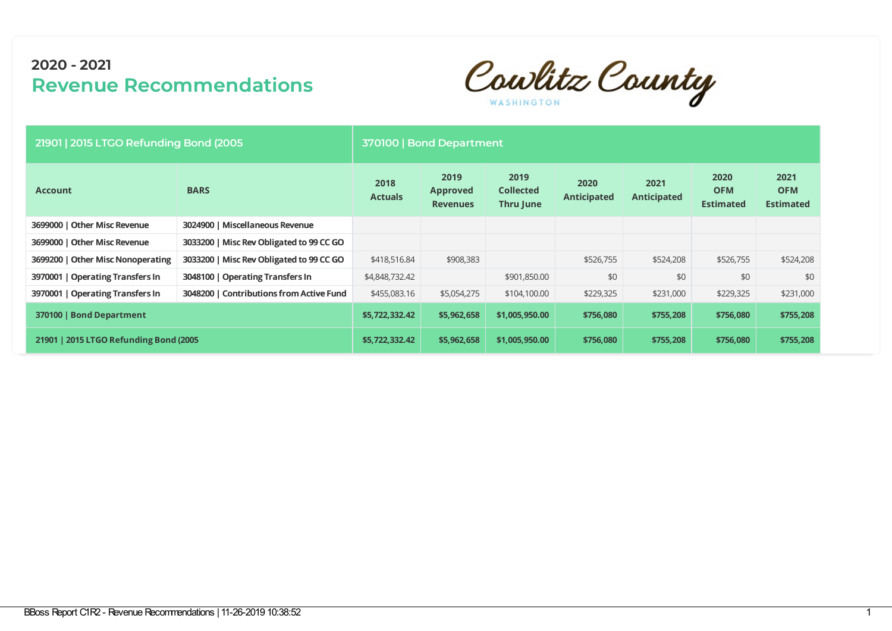Cowlitz County

| 21901   2015 LTGO Refunding Bond (2005) |                                          |                        | 370100   Bond Department                   |                                              |                            |                            |                                        |                                        |
|-----------------------------------------|------------------------------------------|------------------------|--------------------------------------------|----------------------------------------------|----------------------------|----------------------------|----------------------------------------|----------------------------------------|
| <b>Account</b>                          | <b>BARS</b>                              | 2018<br><b>Actuals</b> | 2019<br><b>Approved</b><br><b>Revenues</b> | 2019<br><b>Collected</b><br><b>Thru June</b> | 2020<br><b>Anticipated</b> | 2021<br><b>Anticipated</b> | 2020<br><b>OFM</b><br><b>Estimated</b> | 2021<br><b>OFM</b><br><b>Estimated</b> |
| 3699000   Other Misc Revenue            | 3024900   Miscellaneous Revenue          |                        |                                            |                                              |                            |                            |                                        |                                        |
| 3699000   Other Misc Revenue            | 3033200   Misc Rev Obligated to 99 CC GO |                        |                                            |                                              |                            |                            |                                        |                                        |
| 3699200   Other Misc Nonoperating       | 3033200   Misc Rev Obligated to 99 CC GO | \$418,516.84           | \$908,383                                  |                                              | \$526,755                  | \$524,208                  | \$526,755                              | \$524,208                              |
| 3970001   Operating Transfers In        | 3048100   Operating Transfers In         | \$4,848,732.42         |                                            | \$901,850.00                                 | \$0                        | \$0                        | \$0                                    | \$0                                    |
| 3970001   Operating Transfers In        | 3048200   Contributions from Active Fund | \$455,083.16           | \$5,054,275                                | \$104,100.00                                 | \$229,325                  | \$231,000                  | \$229,325                              | \$231,000                              |
| 370100   Bond Department                |                                          | \$5,722,332.42         | \$5,962,658                                | \$1,005,950.00                               | \$756,080                  | \$755,208                  | \$756,080                              | \$755,208                              |
| 21901   2015 LTGO Refunding Bond (2005) |                                          | \$5,722,332.42         | \$5,962,658                                | \$1,005,950.00                               | \$756,080                  | \$755,208                  | \$756,080                              | \$755,208                              |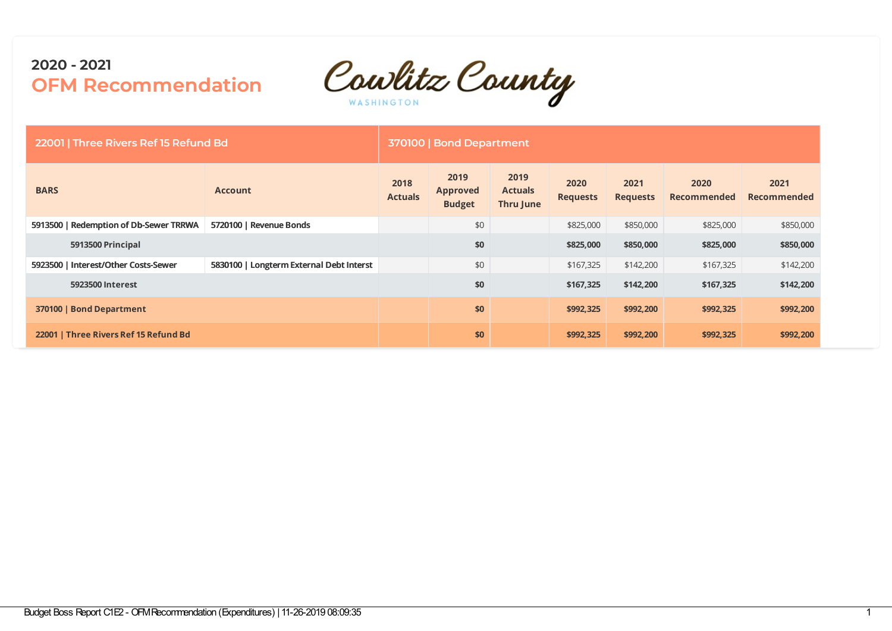

| 22001   Three Rivers Ref 15 Refund Bd  |                                          | 370100   Bond Department |                                          |                                     |                         |                         |                            |                            |  |  |
|----------------------------------------|------------------------------------------|--------------------------|------------------------------------------|-------------------------------------|-------------------------|-------------------------|----------------------------|----------------------------|--|--|
| <b>BARS</b>                            | <b>Account</b>                           | 2018<br><b>Actuals</b>   | 2019<br><b>Approved</b><br><b>Budget</b> | 2019<br><b>Actuals</b><br>Thru June | 2020<br><b>Requests</b> | 2021<br><b>Requests</b> | 2020<br><b>Recommended</b> | 2021<br><b>Recommended</b> |  |  |
| 5913500   Redemption of Db-Sewer TRRWA | 5720100   Revenue Bonds                  |                          | \$0                                      |                                     | \$825,000               | \$850,000               | \$825,000                  | \$850,000                  |  |  |
| 5913500 Principal                      |                                          |                          | \$0                                      |                                     | \$825,000               | \$850,000               | \$825,000                  | \$850,000                  |  |  |
| 5923500   Interest/Other Costs-Sewer   | 5830100   Longterm External Debt Interst |                          | \$0                                      |                                     | \$167,325               | \$142,200               | \$167,325                  | \$142,200                  |  |  |
| 5923500 Interest                       |                                          |                          | \$0                                      |                                     | \$167,325               | \$142,200               | \$167,325                  | \$142,200                  |  |  |
| 370100   Bond Department               |                                          |                          | \$0                                      |                                     | \$992,325               | \$992,200               | \$992,325                  | \$992,200                  |  |  |
| 22001   Three Rivers Ref 15 Refund Bd  |                                          |                          | \$0                                      |                                     | \$992,325               | \$992,200               | \$992,325                  | \$992,200                  |  |  |